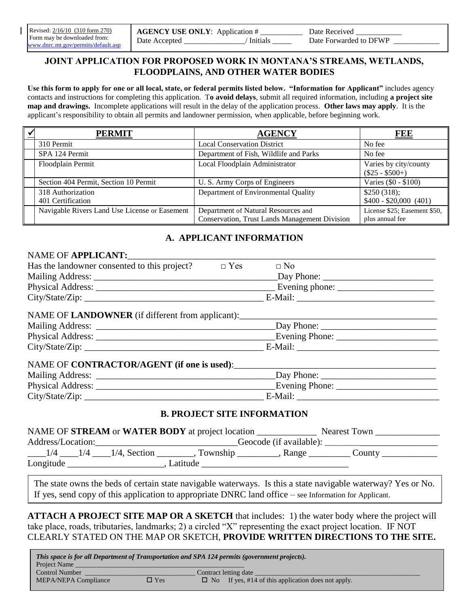#### **JOINT APPLICATION FOR PROPOSED WORK IN MONTANA'S STREAMS, WETLANDS, FLOODPLAINS, AND OTHER WATER BODIES**

**Use this form to apply for one or all local, state, or federal permits listed below. "Information for Applicant"** includes agency contacts and instructions for completing this application. T**o avoid delays**, submit all required information, including **a project site map and drawings.** Incomplete applications will result in the delay of the application process. **Other laws may apply**. It is the applicant's responsibility to obtain all permits and landowner permission, when applicable, before beginning work.

| <b>PERMIT</b>                                 | <b>AGENCY</b>                                 | FEE                                        |
|-----------------------------------------------|-----------------------------------------------|--------------------------------------------|
| 310 Permit                                    | <b>Local Conservation District</b>            | No fee                                     |
| SPA 124 Permit                                | Department of Fish, Wildlife and Parks        | No fee                                     |
| Floodplain Permit                             | Local Floodplain Administrator                | Varies by city/county<br>$(\$25 - \$500+)$ |
| Section 404 Permit, Section 10 Permit         | U. S. Army Corps of Engineers                 | Varies (\$0 - \$100)                       |
| 318 Authorization                             | Department of Environmental Quality           | \$250(318);                                |
| 401 Certification                             |                                               | $$400 - $20,000 (401)$                     |
| Navigable Rivers Land Use License or Easement | Department of Natural Resources and           | License \$25; Easement \$50,               |
|                                               | Conservation, Trust Lands Management Division | plus annual fee                            |

## **A. APPLICANT INFORMATION**

#### NAME OF **APPLICANT:**

| Has the landowner consented to this project?     | $\Box$ Yes | $\Box$ No                |  |
|--------------------------------------------------|------------|--------------------------|--|
|                                                  |            | $\Box$ Day Phone: $\Box$ |  |
|                                                  |            |                          |  |
| City/State/Zip:                                  |            |                          |  |
| NAME OF LANDOWNER (if different from applicant): |            |                          |  |
| Moiling Address.                                 |            | Dov Dhonoi               |  |

| <b>Mailing Address:</b> | Day Phone:     |
|-------------------------|----------------|
| Physical Address:       | Evening Phone: |
| City/State/Zip:         | E-Mail:        |

#### NAME OF **CONTRACTOR/AGENT** (if one is used):

| <b>Mailing Address:</b>  | Day Phone:     |
|--------------------------|----------------|
| <b>Physical Address:</b> | Evening Phone: |
| City/State/Zip:          | E-Mail.        |
|                          |                |

#### **B. PROJECT SITE INFORMATION**

| NAME OF STREAM or WATER BODY at project location |     | Nearest Town    |                         |                    |        |  |
|--------------------------------------------------|-----|-----------------|-------------------------|--------------------|--------|--|
| Address/Location:                                |     |                 | Geocode (if available): |                    |        |  |
|                                                  | 1/4 | $1/4$ , Section | , Township              | $\mathsf{Range}$ . | County |  |
| Longitude                                        |     |                 | Latitude                |                    |        |  |

The state owns the beds of certain state navigable waterways. Is this a state navigable waterway? Yes or No. If yes, send copy of this application to appropriate DNRC land office – see Information for Applicant.

**ATTACH A PROJECT SITE MAP OR A SKETCH** that includes: 1) the water body where the project will take place, roads, tributaries, landmarks; 2) a circled "X" representing the exact project location. IF NOT CLEARLY STATED ON THE MAP OR SKETCH, **PROVIDE WRITTEN DIRECTIONS TO THE SITE.**

| This space is for all Department of Transportation and SPA 124 permits (government projects). |               |  |                                                              |  |  |  |
|-----------------------------------------------------------------------------------------------|---------------|--|--------------------------------------------------------------|--|--|--|
| Project Name                                                                                  |               |  |                                                              |  |  |  |
| Control Number<br>Contract letting date                                                       |               |  |                                                              |  |  |  |
| <b>MEPA/NEPA Compliance</b>                                                                   | $\square$ Yes |  | $\square$ No If yes, #14 of this application does not apply. |  |  |  |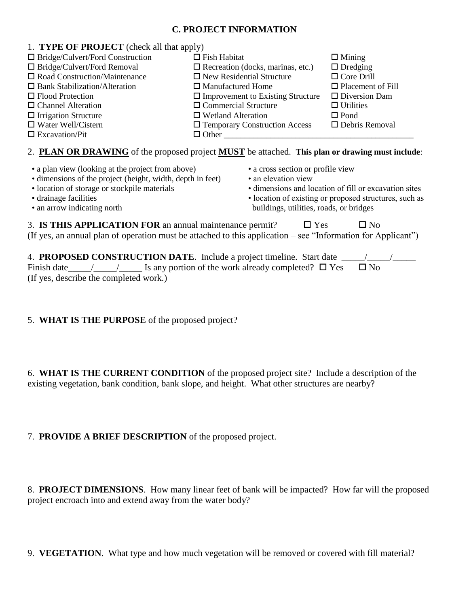### **C. PROJECT INFORMATION**

| 1. TYPE OF PROJECT (check all that apply) |                                          |                          |  |  |  |  |
|-------------------------------------------|------------------------------------------|--------------------------|--|--|--|--|
| $\Box$ Bridge/Culvert/Ford Construction   | $\Box$ Fish Habitat                      | $\Box$ Mining            |  |  |  |  |
| $\Box$ Bridge/Culvert/Ford Removal        | $\Box$ Recreation (docks, marinas, etc.) | $\Box$ Dredging          |  |  |  |  |
| $\Box$ Road Construction/Maintenance      | $\Box$ New Residential Structure         | $\Box$ Core Drill        |  |  |  |  |
| $\Box$ Bank Stabilization/Alteration      | $\Box$ Manufactured Home                 | $\Box$ Placement of Fill |  |  |  |  |
| $\Box$ Flood Protection                   | $\Box$ Improvement to Existing Structure | $\Box$ Diversion Dam     |  |  |  |  |
| $\Box$ Channel Alteration                 | $\Box$ Commercial Structure              | $\Box$ Utilities         |  |  |  |  |
| $\Box$ Irrigation Structure               | $\Box$ Wetland Alteration                | $\Box$ Pond              |  |  |  |  |
| $\Box$ Water Well/Cistern                 | $\Box$ Temporary Construction Access     | $\Box$ Debris Removal    |  |  |  |  |
| $\Box$ Excavation/Pit                     | $\Box$ Other                             |                          |  |  |  |  |

### 2. **PLAN OR DRAWING** of the proposed project **MUST** be attached. **This plan or drawing must include**:

- a plan view (looking at the project from above) a cross section or profile view
- dimensions of the project (height, width, depth in feet) an elevation view
- 
- 
- 
- 
- 
- location of storage or stockpile materials dimensions and location of fill or excavation sites
- drainage facilities location of existing or proposed structures, such as • an arrow indicating north buildings, utilities, roads, or bridges

|  |  | 3. IS THIS APPLICATION FOR an annual maintenance permit?                                                     | $\Box$ Yes | $\Box$ No |  |
|--|--|--------------------------------------------------------------------------------------------------------------|------------|-----------|--|
|  |  | (If yes, an annual plan of operation must be attached to this application – see "Information for Applicant") |            |           |  |

| 4. PROPOSED CONSTRUCTION DATE. Include a project timeline. Start date                    |           |
|------------------------------------------------------------------------------------------|-----------|
| Finish date $\angle$ / $\angle$ Is any portion of the work already completed? $\Box$ Yes | $\Box$ No |
| (If yes, describe the completed work.)                                                   |           |

# 5. **WHAT IS THE PURPOSE** of the proposed project?

6. **WHAT IS THE CURRENT CONDITION** of the proposed project site? Include a description of the existing vegetation, bank condition, bank slope, and height. What other structures are nearby?

### 7. **PROVIDE A BRIEF DESCRIPTION** of the proposed project.

8. **PROJECT DIMENSIONS**. How many linear feet of bank will be impacted? How far will the proposed project encroach into and extend away from the water body?

9. **VEGETATION**. What type and how much vegetation will be removed or covered with fill material?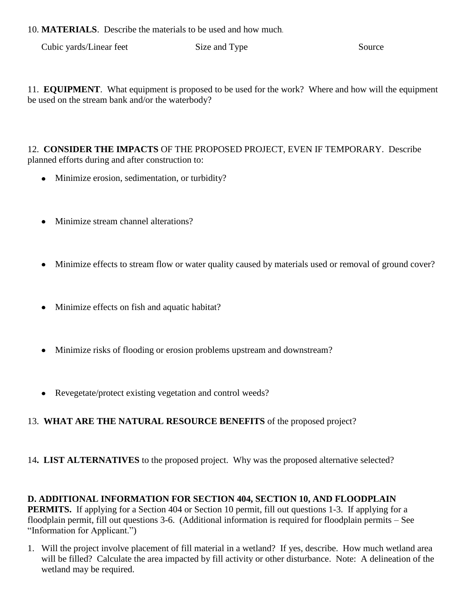10. **MATERIALS**. Describe the materials to be used and how much.

Cubic yards/Linear feet Size and Type Source Source

11. **EQUIPMENT**. What equipment is proposed to be used for the work? Where and how will the equipment be used on the stream bank and/or the waterbody?

12. **CONSIDER THE IMPACTS** OF THE PROPOSED PROJECT, EVEN IF TEMPORARY. Describe planned efforts during and after construction to:

- Minimize erosion, sedimentation, or turbidity?
- Minimize stream channel alterations?
- Minimize effects to stream flow or water quality caused by materials used or removal of ground cover?
- Minimize effects on fish and aquatic habitat?
- Minimize risks of flooding or erosion problems upstream and downstream?
- Revegetate/protect existing vegetation and control weeds?

# 13. **WHAT ARE THE NATURAL RESOURCE BENEFITS** of the proposed project?

14**. LIST ALTERNATIVES** to the proposed project. Why was the proposed alternative selected?

**D. ADDITIONAL INFORMATION FOR SECTION 404, SECTION 10, AND FLOODPLAIN PERMITS.** If applying for a Section 404 or Section 10 permit, fill out questions 1-3. If applying for a floodplain permit, fill out questions 3-6. (Additional information is required for floodplain permits – See "Information for Applicant.")

1. Will the project involve placement of fill material in a wetland? If yes, describe. How much wetland area will be filled? Calculate the area impacted by fill activity or other disturbance. Note: A delineation of the wetland may be required.